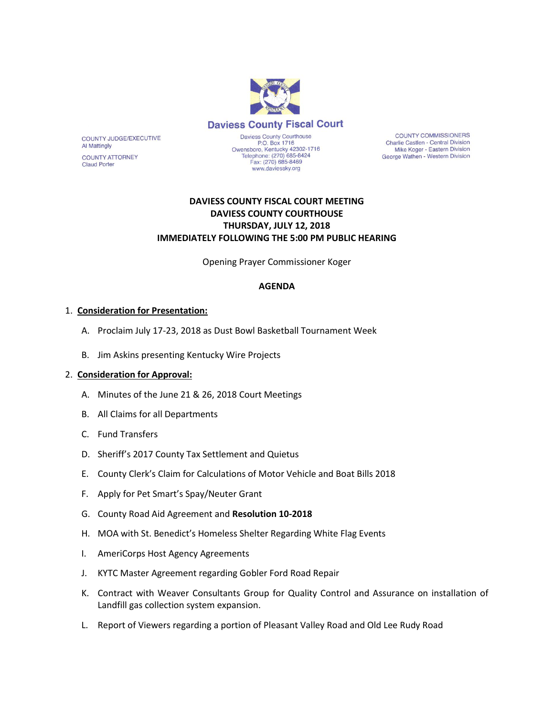

**COUNTY COMMISSIONERS** Charlie Castlen - Central Division Mike Koger - Eastern Division George Wathen - Western Division

# **DAVIESS COUNTY FISCAL COURT MEETING DAVIESS COUNTY COURTHOUSE THURSDAY, JULY 12, 2018 IMMEDIATELY FOLLOWING THE 5:00 PM PUBLIC HEARING**

Opening Prayer Commissioner Koger

### **AGENDA**

#### 1. **Consideration for Presentation:**

COUNTY JUDGE/EXECUTIVE

**COUNTY ATTORNEY** 

**Al Mattingly** 

**Claud Porter** 

- A. Proclaim July 17-23, 2018 as Dust Bowl Basketball Tournament Week
- B. Jim Askins presenting Kentucky Wire Projects

#### 2. **Consideration for Approval:**

- A. Minutes of the June 21 & 26, 2018 Court Meetings
- B. All Claims for all Departments
- C. Fund Transfers
- D. Sheriff's 2017 County Tax Settlement and Quietus
- E. County Clerk's Claim for Calculations of Motor Vehicle and Boat Bills 2018
- F. Apply for Pet Smart's Spay/Neuter Grant
- G. County Road Aid Agreement and **Resolution 10-2018**
- H. MOA with St. Benedict's Homeless Shelter Regarding White Flag Events
- I. AmeriCorps Host Agency Agreements
- J. KYTC Master Agreement regarding Gobler Ford Road Repair
- K. Contract with Weaver Consultants Group for Quality Control and Assurance on installation of Landfill gas collection system expansion.
- L. Report of Viewers regarding a portion of Pleasant Valley Road and Old Lee Rudy Road